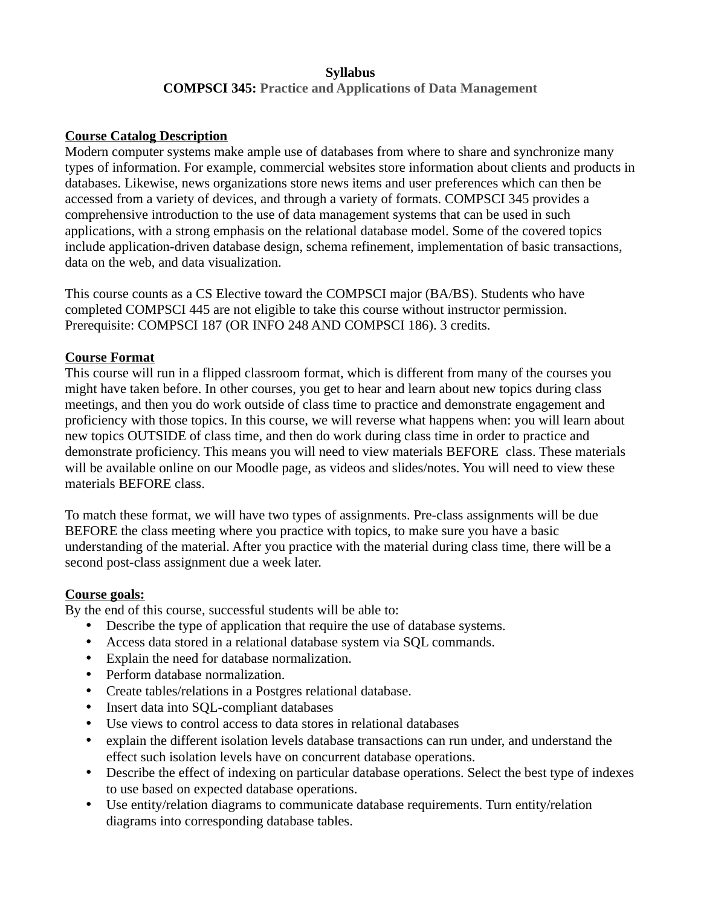#### **Syllabus COMPSCI 345: Practice and Applications of Data Management**

#### **Course Catalog Description**

Modern computer systems make ample use of databases from where to share and synchronize many types of information. For example, commercial websites store information about clients and products in databases. Likewise, news organizations store news items and user preferences which can then be accessed from a variety of devices, and through a variety of formats. COMPSCI 345 provides a comprehensive introduction to the use of data management systems that can be used in such applications, with a strong emphasis on the relational database model. Some of the covered topics include application-driven database design, schema refinement, implementation of basic transactions, data on the web, and data visualization.

This course counts as a CS Elective toward the COMPSCI major (BA/BS). Students who have completed COMPSCI 445 are not eligible to take this course without instructor permission. Prerequisite: COMPSCI 187 (OR INFO 248 AND COMPSCI 186). 3 credits.

#### **Course Format**

This course will run in a flipped classroom format, which is different from many of the courses you might have taken before. In other courses, you get to hear and learn about new topics during class meetings, and then you do work outside of class time to practice and demonstrate engagement and proficiency with those topics. In this course, we will reverse what happens when: you will learn about new topics OUTSIDE of class time, and then do work during class time in order to practice and demonstrate proficiency. This means you will need to view materials BEFORE class. These materials will be available online on our Moodle page, as videos and slides/notes. You will need to view these materials BEFORE class.

To match these format, we will have two types of assignments. Pre-class assignments will be due BEFORE the class meeting where you practice with topics, to make sure you have a basic understanding of the material. After you practice with the material during class time, there will be a second post-class assignment due a week later.

#### **Course goals:**

By the end of this course, successful students will be able to:

- Describe the type of application that require the use of database systems.
- Access data stored in a relational database system via SQL commands.
- Explain the need for database normalization.
- Perform database normalization.
- Create tables/relations in a Postgres relational database.
- Insert data into SQL-compliant databases
- Use views to control access to data stores in relational databases
- explain the different isolation levels database transactions can run under, and understand the effect such isolation levels have on concurrent database operations.
- Describe the effect of indexing on particular database operations. Select the best type of indexes to use based on expected database operations.
- Use entity/relation diagrams to communicate database requirements. Turn entity/relation diagrams into corresponding database tables.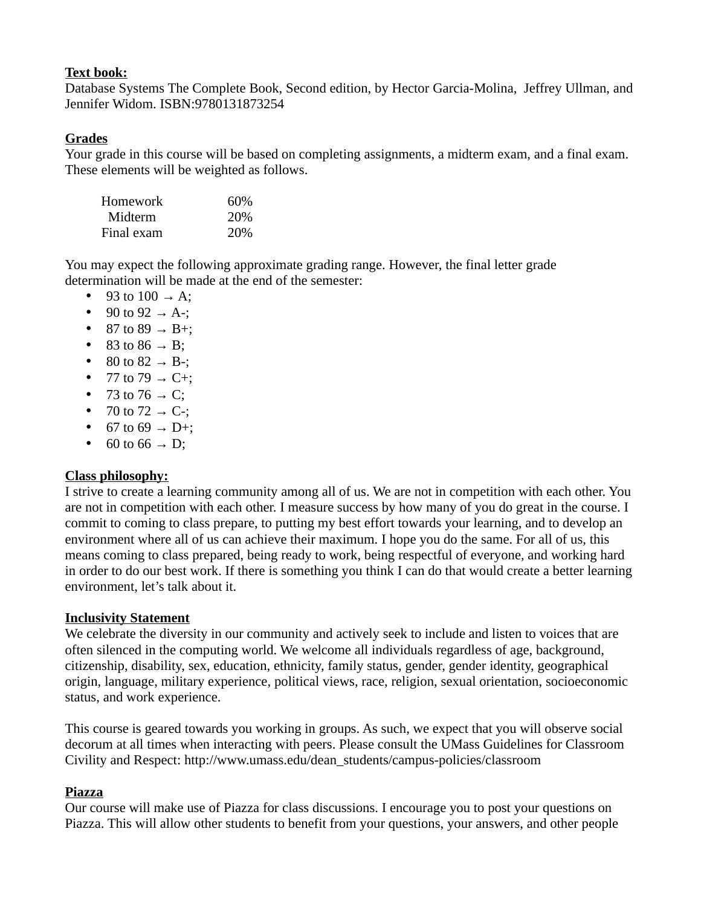### **Text book:**

Database Systems The Complete Book, Second edition, by Hector Garcia-Molina, Jeffrey Ullman, and Jennifer Widom. ISBN:9780131873254

### **Grades**

Your grade in this course will be based on completing assignments, a midterm exam, and a final exam. These elements will be weighted as follows.

| Homework   | 60%  |
|------------|------|
| Midterm    | 20\% |
| Final exam | 20\% |

You may expect the following approximate grading range. However, the final letter grade determination will be made at the end of the semester:

- $\bullet$  93 to 100  $\rightarrow$  A:
- 90 to 92  $\rightarrow$  A-;
- $\bullet$  87 to 89  $\rightarrow$  B+:
- $\bullet$  83 to 86  $\rightarrow$  B;
- 80 to 82  $\rightarrow$  B-;
- 77 to 79  $\rightarrow$  C+;
- 73 to 76  $\rightarrow$  C;
- 70 to 72  $\rightarrow$  C-;
- 67 to 69  $\rightarrow$  D+;
- 60 to 66  $\rightarrow$  D:

### **Class philosophy:**

I strive to create a learning community among all of us. We are not in competition with each other. You are not in competition with each other. I measure success by how many of you do great in the course. I commit to coming to class prepare, to putting my best effort towards your learning, and to develop an environment where all of us can achieve their maximum. I hope you do the same. For all of us, this means coming to class prepared, being ready to work, being respectful of everyone, and working hard in order to do our best work. If there is something you think I can do that would create a better learning environment, let's talk about it.

### **Inclusivity Statement**

We celebrate the diversity in our community and actively seek to include and listen to voices that are often silenced in the computing world. We welcome all individuals regardless of age, background, citizenship, disability, sex, education, ethnicity, family status, gender, gender identity, geographical origin, language, military experience, political views, race, religion, sexual orientation, socioeconomic status, and work experience.

This course is geared towards you working in groups. As such, we expect that you will observe social decorum at all times when interacting with peers. Please consult the UMass Guidelines for Classroom Civility and Respect: http://www.umass.edu/dean\_students/campus-policies/classroom

### **Piazza**

Our course will make use of Piazza for class discussions. I encourage you to post your questions on Piazza. This will allow other students to benefit from your questions, your answers, and other people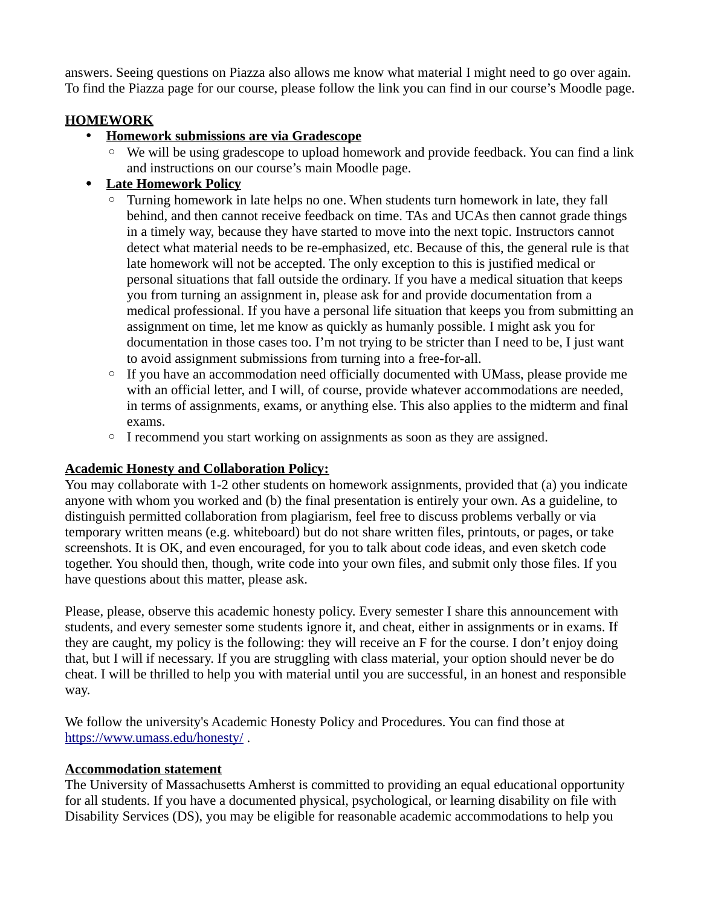answers. Seeing questions on Piazza also allows me know what material I might need to go over again. To find the Piazza page for our course, please follow the link you can find in our course's Moodle page.

# **HOMEWORK**

- **Homework submissions are via Gradescope**
	- We will be using gradescope to upload homework and provide feedback. You can find a link and instructions on our course's main Moodle page.

# **Late Homework Policy**

- Turning homework in late helps no one. When students turn homework in late, they fall behind, and then cannot receive feedback on time. TAs and UCAs then cannot grade things in a timely way, because they have started to move into the next topic. Instructors cannot detect what material needs to be re-emphasized, etc. Because of this, the general rule is that late homework will not be accepted. The only exception to this is justified medical or personal situations that fall outside the ordinary. If you have a medical situation that keeps you from turning an assignment in, please ask for and provide documentation from a medical professional. If you have a personal life situation that keeps you from submitting an assignment on time, let me know as quickly as humanly possible. I might ask you for documentation in those cases too. I'm not trying to be stricter than I need to be, I just want to avoid assignment submissions from turning into a free-for-all.
- If you have an accommodation need officially documented with UMass, please provide me with an official letter, and I will, of course, provide whatever accommodations are needed, in terms of assignments, exams, or anything else. This also applies to the midterm and final exams.
- I recommend you start working on assignments as soon as they are assigned.

# **Academic Honesty and Collaboration Policy:**

You may collaborate with 1-2 other students on homework assignments, provided that (a) you indicate anyone with whom you worked and (b) the final presentation is entirely your own. As a guideline, to distinguish permitted collaboration from plagiarism, feel free to discuss problems verbally or via temporary written means (e.g. whiteboard) but do not share written files, printouts, or pages, or take screenshots. It is OK, and even encouraged, for you to talk about code ideas, and even sketch code together. You should then, though, write code into your own files, and submit only those files. If you have questions about this matter, please ask.

Please, please, observe this academic honesty policy. Every semester I share this announcement with students, and every semester some students ignore it, and cheat, either in assignments or in exams. If they are caught, my policy is the following: they will receive an F for the course. I don't enjoy doing that, but I will if necessary. If you are struggling with class material, your option should never be do cheat. I will be thrilled to help you with material until you are successful, in an honest and responsible way.

We follow the university's Academic Honesty Policy and Procedures. You can find those at <https://www.umass.edu/honesty/>.

### **Accommodation statement**

The University of Massachusetts Amherst is committed to providing an equal educational opportunity for all students. If you have a documented physical, psychological, or learning disability on file with Disability Services (DS), you may be eligible for reasonable academic accommodations to help you